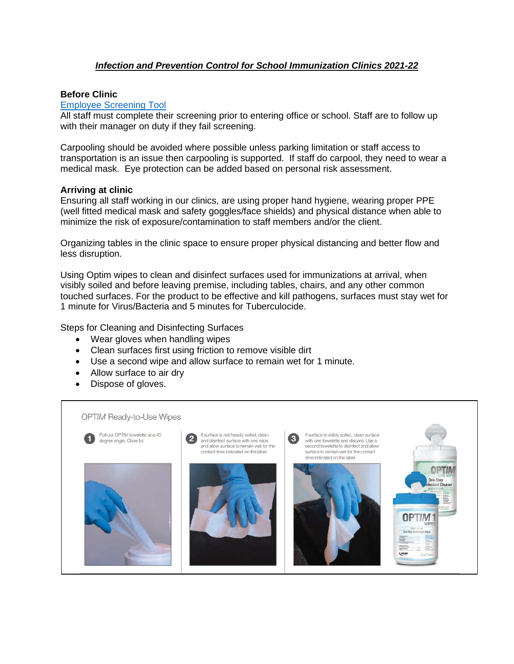# *Infection and Prevention Control for School Immunization Clinics 2021-22*

## **Before Clinic**

## [Employee Screening Tool](https://s-ca.chkmkt.com/?e=193204&d=e&h=52621A1EED1AF6E&l=en)

All staff must complete their screening prior to entering office or school. Staff are to follow up with their manager on duty if they fail screening.

Carpooling should be avoided where possible unless parking limitation or staff access to transportation is an issue then carpooling is supported. If staff do carpool, they need to wear a medical mask. Eye protection can be added based on personal risk assessment.

#### **Arriving at clinic**

Ensuring all staff working in our clinics, are using proper hand hygiene, wearing proper PPE (well fitted medical mask and safety goggles/face shields) and physical distance when able to minimize the risk of exposure/contamination to staff members and/or the client.

Organizing tables in the clinic space to ensure proper physical distancing and better flow and less disruption.

Using Optim wipes to clean and disinfect surfaces used for immunizations at arrival, when visibly soiled and before leaving premise, including tables, chairs, and any other common touched surfaces. For the product to be effective and kill pathogens, surfaces must stay wet for 1 minute for Virus/Bacteria and 5 minutes for Tuberculocide.

Steps for Cleaning and Disinfecting Surfaces

- Wear gloves when handling wipes
- Clean surfaces first using friction to remove visible dirt
- Use a second wipe and allow surface to remain wet for 1 minute.
- Allow surface to air dry
- Dispose of gloves.